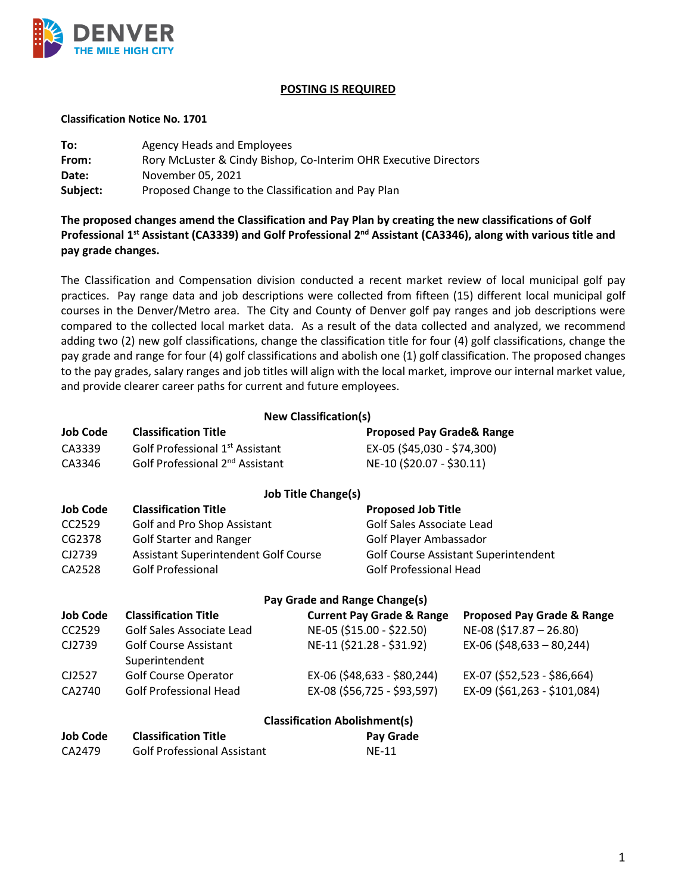

## **POSTING IS REQUIRED**

## **Classification Notice No. 1701**

| To:      | Agency Heads and Employees                                       |  |  |
|----------|------------------------------------------------------------------|--|--|
| From:    | Rory McLuster & Cindy Bishop, Co-Interim OHR Executive Directors |  |  |
| Date:    | November 05, 2021                                                |  |  |
| Subject: | Proposed Change to the Classification and Pay Plan               |  |  |

**The proposed changes amend the Classification and Pay Plan by creating the new classifications of Golf Professional 1st Assistant (CA3339) and Golf Professional 2nd Assistant (CA3346), along with various title and pay grade changes.** 

The Classification and Compensation division conducted a recent market review of local municipal golf pay practices. Pay range data and job descriptions were collected from fifteen (15) different local municipal golf courses in the Denver/Metro area. The City and County of Denver golf pay ranges and job descriptions were compared to the collected local market data. As a result of the data collected and analyzed, we recommend adding two (2) new golf classifications, change the classification title for four (4) golf classifications, change the pay grade and range for four (4) golf classifications and abolish one (1) golf classification. The proposed changes to the pay grades, salary ranges and job titles will align with the local market, improve our internal market value, and provide clearer career paths for current and future employees.

**New Classification(s)**

| <b>INCAN CIRCOLLICATIONIST</b>       |                                             |  |                                             |                                       |  |
|--------------------------------------|---------------------------------------------|--|---------------------------------------------|---------------------------------------|--|
| <b>Job Code</b>                      | <b>Classification Title</b>                 |  | <b>Proposed Pay Grade&amp; Range</b>        |                                       |  |
| CA3339                               | Golf Professional 1 <sup>st</sup> Assistant |  | EX-05 (\$45,030 - \$74,300)                 |                                       |  |
| CA3346                               | Golf Professional 2 <sup>nd</sup> Assistant |  | NE-10 (\$20.07 - \$30.11)                   |                                       |  |
| <b>Job Title Change(s)</b>           |                                             |  |                                             |                                       |  |
| <b>Job Code</b>                      | <b>Classification Title</b>                 |  | <b>Proposed Job Title</b>                   |                                       |  |
| CC2529                               | Golf and Pro Shop Assistant                 |  | Golf Sales Associate Lead                   |                                       |  |
| CG2378                               | <b>Golf Starter and Ranger</b>              |  | Golf Player Ambassador                      |                                       |  |
| CJ2739                               | Assistant Superintendent Golf Course        |  | <b>Golf Course Assistant Superintendent</b> |                                       |  |
| CA2528                               | <b>Golf Professional</b>                    |  | <b>Golf Professional Head</b>               |                                       |  |
| Pay Grade and Range Change(s)        |                                             |  |                                             |                                       |  |
| <b>Job Code</b>                      | <b>Classification Title</b>                 |  | <b>Current Pay Grade &amp; Range</b>        | <b>Proposed Pay Grade &amp; Range</b> |  |
| CC2529                               | Golf Sales Associate Lead                   |  | NE-05 (\$15.00 - \$22.50)                   | NE-08 (\$17.87 - 26.80)               |  |
| CJ2739                               | <b>Golf Course Assistant</b>                |  | NE-11 (\$21.28 - \$31.92)                   | $EX-06$ (\$48,633 - 80,244)           |  |
|                                      | Superintendent                              |  |                                             |                                       |  |
| CJ2527                               | <b>Golf Course Operator</b>                 |  | EX-06 (\$48,633 - \$80,244)                 | EX-07 (\$52,523 - \$86,664)           |  |
| CA2740                               | <b>Golf Professional Head</b>               |  | EX-08 (\$56,725 - \$93,597)                 | EX-09 (\$61,263 - \$101,084)          |  |
| <b>Classification Abolishment(s)</b> |                                             |  |                                             |                                       |  |
| <b>Job Code</b>                      | <b>Classification Title</b>                 |  | Pay Grade                                   |                                       |  |
| CA2479                               | <b>Golf Professional Assistant</b>          |  | NE-11                                       |                                       |  |